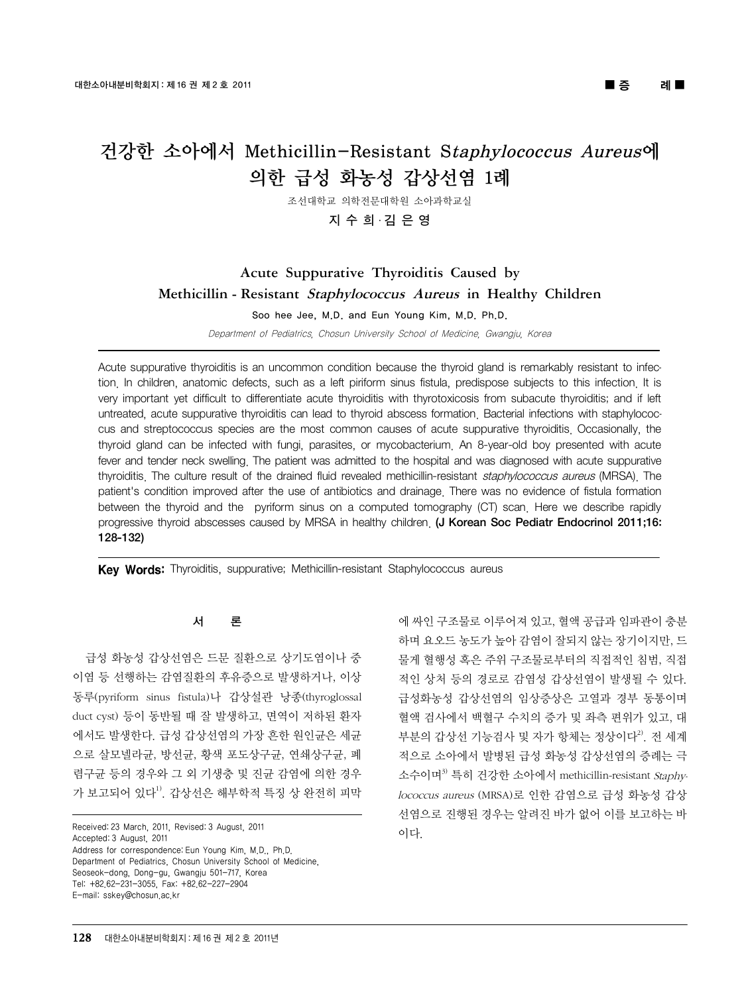# 건강한 소아에서 Methicillin-Resistant Staphylococcus Aureus에 의한 급성 화농성 갑상선염 1례

조선대학교 의학전문대학원 소아과학교실

### 지 수 희ㆍ김 은 영

## Acute Suppurative Thyroiditis Caused by Methicillin - Resistant Staphylococcus Aureus in Healthy Children

Soo hee Jee, M.D. and Eun Young Kim, M.D. Ph.D.

Department of Pediatrics, Chosun University School of Medicine, Gwangju, Korea

Acute suppurative thyroiditis is an uncommon condition because the thyroid gland is remarkably resistant to infection. In children, anatomic defects, such as a left piriform sinus fistula, predispose subjects to this infection. It is very important yet difficult to differentiate acute thyroiditis with thyrotoxicosis from subacute thyroiditis; and if left untreated, acute suppurative thyroiditis can lead to thyroid abscess formation. Bacterial infections with staphylococcus and streptococcus species are the most common causes of acute suppurative thyroiditis. Occasionally, the thyroid gland can be infected with fungi, parasites, or mycobacterium. An 8-year-old boy presented with acute fever and tender neck swelling. The patient was admitted to the hospital and was diagnosed with acute suppurative thyroiditis. The culture result of the drained fluid revealed methicillin-resistant staphylococcus aureus (MRSA). The patient's condition improved after the use of antibiotics and drainage. There was no evidence of fistula formation between the thyroid and the pyriform sinus on a computed tomography (CT) scan. Here we describe rapidly progressive thyroid abscesses caused by MRSA in healthy children. (J Korean Soc Pediatr Endocrinol 2011;16: 128-132)

Key Words: Thyroiditis, suppurative; Methicillin-resistant Staphylococcus aureus

#### 서 론

급성 화농성 갑상선염은 드문 질환으로 상기도염이나 중 이염 등 선행하는 감염질환의 후유증으로 발생하거나, 이상 동루(pyriform sinus fistula)나 갑상설관 낭종(thyroglossal duct cyst) 등이 동반될 때 잘 발생하고, 면역이 저하된 환자 에서도 발생한다. 급성 갑상선염의 가장 흔한 원인균은 세균 으로 살모넬라균, 방선균, 황색 포도상구균, 연쇄상구균, 폐 렴구균 등의 경우와 그 외 기생충 및 진균 감염에 의한 경우 가 보고되어 있다<sup>1)</sup>. 갑상선은 해부학적 특징 상 완전히 피막

Received: 23 March, 2011, Revised: 3 August, 2011 Accepted: 3 August, 2011 Address for correspondence: Eun Young Kim, M.D., Ph.D. Department of Pediatrics, Chosun University School of Medicine, Seoseok-dong, Dong-gu, Gwangju 501-717, Korea Tel: +82.62-231-3055, Fax: +82.62-227-2904

E-mail: sskey@chosun.ac.kr

에 싸인 구조물로 이루어져 있고, 혈액 공급과 임파관이 충분 하며 요오드 농도가 높아 감염이 잘되지 않는 장기이지만, 드 물게 혈행성 혹은 주위 구조물로부터의 직접적인 침범, 직접 적인 상처 등의 경로로 감염성 갑상선염이 발생될 수 있다. 급성화농성 갑상선염의 임상증상은 고열과 경부 동통이며 혈액 검사에서 백혈구 수치의 증가 및 좌측 편위가 있고, 대 부분의 갑상선 기능검사 및 자가 항체는 정상이다<sup>2</sup>. 전 세계 적으로 소아에서 발병된 급성 화농성 갑상선염의 증례는 극 소수이며<sup>3)</sup> 특히 건강한 소아에서 methicillin-resistant Staphylococcus aureus (MRSA)로 인한 감염으로 급성 화농성 갑상 선염으로 진행된 경우는 알려진 바가 없어 이를 보고하는 바 이다.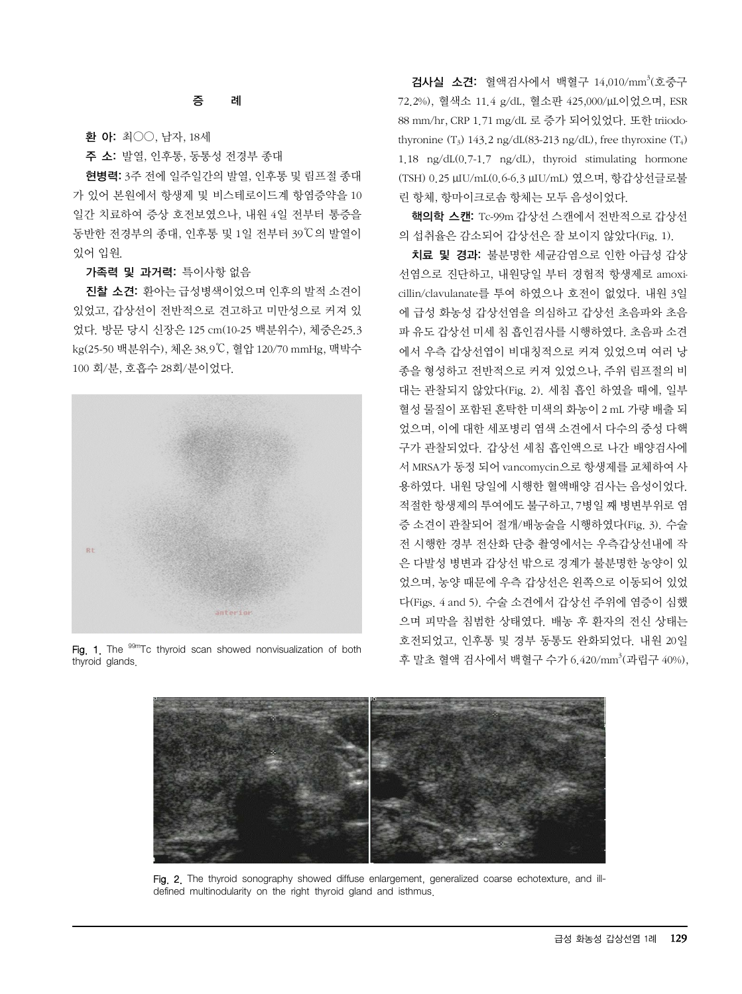#### 증 례

환 아: 최○○, 남자, 18세

주 소: 발열, 인후통, 동통성 전경부 종대

현병력: 3주 전에 일주일간의 발열, 인후통 및 림프절 종대 가 있어 본원에서 항생제 및 비스테로이드계 항염증약을 10 일간 치료하여 증상 호전보였으나, 내원 4일 전부터 통증을 동반한 전경부의 종대, 인후통 및 1일 전부터 39℃의 발열이 있어 입원.

#### 가족력 및 과거력: 특이사항 없음

진찰 소견: 환아는급성병색이었으며 인후의 발적 소견이 있었고, 갑상선이 전반적으로 견고하고 미만성으로 커져 있 었다. 방문 당시 신장은 125 cm(10-25 백분위수), 체중은25.3 kg(25-50 백분위수), 체온 38.9℃, 혈압 120/70 mmHg, 맥박수 100 회/분, 호흡수 28회/분이었다.



Fig. 1. The <sup>99m</sup>Tc thyroid scan showed nonvisualization of both thyroid glands.

검사실 소견: 혈액검사에서 백혈구 14,010/mm 3 (호중구 72.2%), 혈색소 11.4 g/dL, 혈소판 425,000/μL이었으며, ESR 88 mm/hr, CRP 1.71 mg/dL 로 증가 되어있었다. 또한 triiodothyronine  $(T_3)$  143.2 ng/dL(83-213 ng/dL), free thyroxine  $(T_4)$ 1.18 ng/dL(0.7-1.7 ng/dL), thyroid stimulating hormone (TSH) 0.25 μIU/mL(0.6-6.3 μIU/mL) 였으며, 항갑상선글로불 린 항체, 항마이크로솜 항체는 모두 음성이었다.

핵의학 스캔: Tc-99m 갑상선 스캔에서 전반적으로 갑상선 의 섭취율은 감소되어 갑상선은 잘 보이지 않았다(Fig. 1).

치료 및 경과: 불분명한 세균감염으로 인한 아급성 갑상 선염으로 진단하고, 내원당일 부터 경험적 항생제로 amoxicillin/clavulanate를 투여 하였으나 호전이 없었다. 내원 3일 에 급성 화농성 갑상선염을 의심하고 갑상선 초음파와 초음 파 유도 갑상선 미세 침 흡인검사를 시행하였다. 초음파 소견 에서 우측 갑상선엽이 비대칭적으로 커져 있었으며 여러 낭 종을 형성하고 전반적으로 커져 있었으나, 주위 림프절의 비 대는 관찰되지 않았다(Fig. 2). 세침 흡인 하였을 때에, 일부 혈성 물질이 포함된 혼탁한 미색의 화농이 2 mL 가량 배출 되 었으며, 이에 대한 세포병리 염색 소견에서 다수의 중성 다핵 구가 관찰되었다. 갑상선 세침 흡인액으로 나간 배양검사에 서 MRSA가 동정 되어 vancomycin으로 항생제를 교체하여 사 용하였다. 내원 당일에 시행한 혈액배양 검사는 음성이었다. 적절한항생제의 투여에도불구하고, 7병일째병변부위로 염 증 소견이 관찰되어 절개/배농술을 시행하였다(Fig. 3). 수술 전 시행한 경부 전산화 단층 촬영에서는 우측갑상선내에 작 은 다발성 병변과 갑상선 밖으로 경계가 불분명한 농양이 있 었으며, 농양 때문에 우측 갑상선은 왼쪽으로 이동되어 있었 다(Figs. 4 and 5). 수술 소견에서 갑상선 주위에 염증이 심했 으며 피막을 침범한 상태였다. 배농 후 환자의 전신 상태는 호전되었고, 인후통 및 경부 동통도 완화되었다. 내원 20일 후 말초 혈액 검사에서 백혈구 수가 6.420/mm<sup>3</sup>(과립구 40%),



Fig. 2. The thyroid sonography showed diffuse enlargement, generalized coarse echotexture, and illdefined multinodularity on the right thyroid gland and isthmus.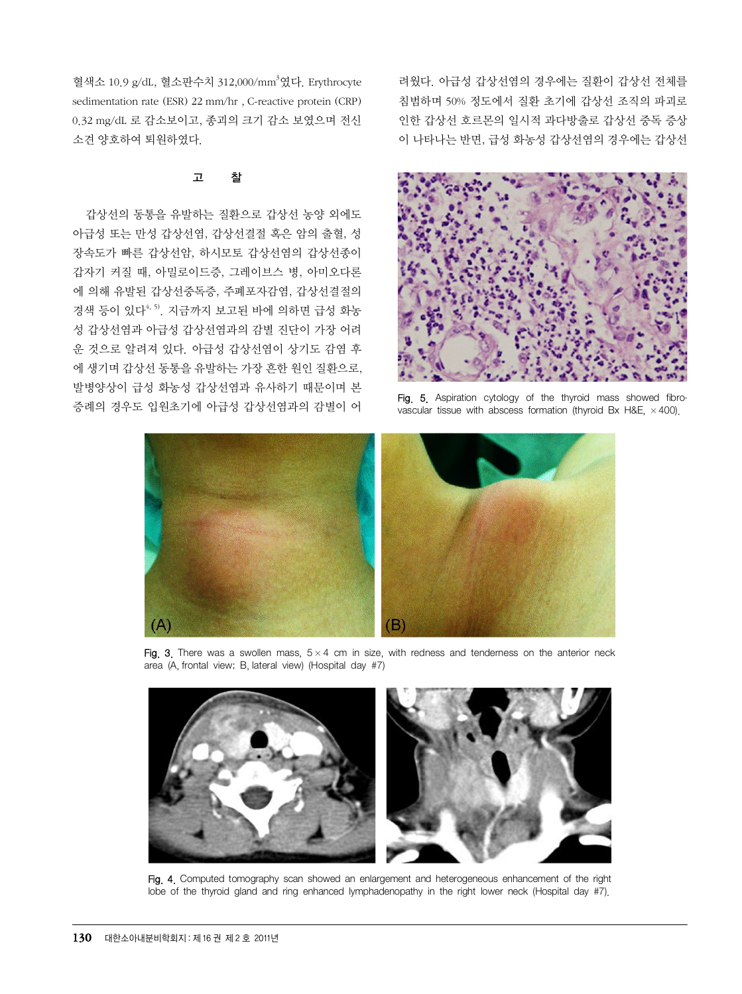혈색소 10.9 g/dL, 혈소판수치 312,000/mm <sup>3</sup>였다. Erythrocyte sedimentation rate (ESR) 22 mm/hr , C-reactive protein (CRP) 0.32 mg/dL 로 감소보이고, 종괴의 크기 감소 보였으며 전신 소견 양호하여 퇴원하였다.

#### 고 찰

갑상선의 동통을 유발하는 질환으로 갑상선 농양 외에도 아급성 또는 만성 갑상선염, 갑상선결절 혹은 암의 출혈, 성 장속도가 빠른 갑상선암, 하시모토 갑상선염의 갑상선종이 갑자기 커질 때, 아밀로이드증, 그레이브스 병, 아미오다론 에 의해 유발된 갑상선중독증, 주폐포자감염, 갑상선결절의 경색 등이 있다<sup>4, 5)</sup>. 지금까지 보고된 바에 의하면 급성 화농 성 갑상선염과 아급성 갑상선염과의 감별 진단이 가장 어려 운 것으로 알려져 있다. 아급성 갑상선염이 상기도 감염 후 에 생기며 갑상선 동통을 유발하는 가장 흔한 원인 질환으로, 발병양상이 급성 화농성 갑상선염과 유사하기 때문이며 본 증례의 경우도 입원초기에 아급성 갑상선염과의 감별이 어 려웠다. 아급성 갑상선염의 경우에는 질환이 갑상선 전체를 침범하며 50% 정도에서 질환 초기에 갑상선 조직의 파괴로 인한 갑상선 호르몬의 일시적 과다방출로 갑상선 중독 증상 이 나타나는 반면, 급성 화농성 갑상선염의 경우에는 갑상선



Fig. 5. Aspiration cytology of the thyroid mass showed fibrovascular tissue with abscess formation (thyroid Bx H&E,  $\times$  400).



Fig. 3. There was a swollen mass,  $5 \times 4$  cm in size, with redness and tenderness on the anterior neck area (A, frontal view; B, lateral view) (Hospital day #7)



Fig. 4. Computed tomography scan showed an enlargement and heterogeneous enhancement of the right lobe of the thyroid gland and ring enhanced lymphadenopathy in the right lower neck (Hospital day #7).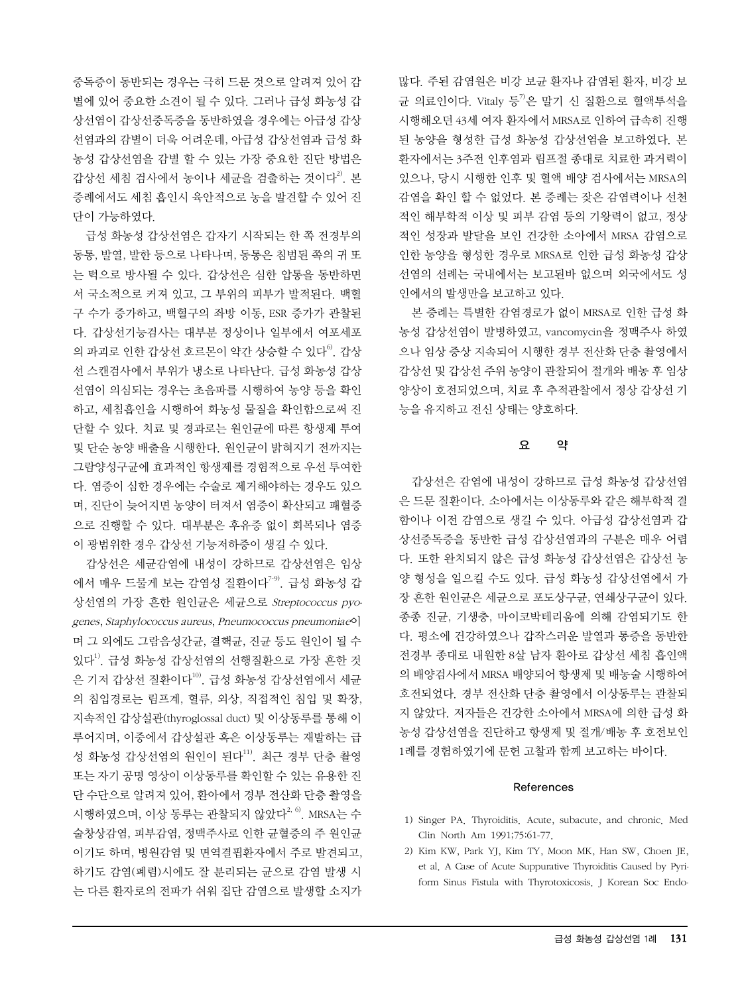중독증이 동반되는 경우는 극히 드문 것으로 알려져 있어 감 별에 있어 중요한 소견이 될 수 있다. 그러나 급성 화농성 갑 상선염이 갑상선중독증을 동반하였을 경우에는 아급성 갑상 선염과의 감별이 더욱 어려운데, 아급성 갑상선염과 급성 화 농성 갑상선염을 감별 할 수 있는 가장 중요한 진단 방법은 갑상선 세침 검사에서 농이나 세균을 검출하는 것이다<sup>2)</sup>. 본 증례에서도 세침 흡인시 육안적으로 농을 발견할 수 있어 진 단이 가능하였다.

급성 화농성 갑상선염은 갑자기 시작되는 한 쪽 전경부의 동통, 발열, 발한 등으로 나타나며, 동통은 침범된 쪽의 귀 또 는 턱으로 방사될 수 있다. 갑상선은 심한 압통을 동반하면 서 국소적으로 커져 있고, 그 부위의 피부가 발적된다. 백혈 구 수가 증가하고, 백혈구의 좌방 이동, ESR 증가가 관찰된 다. 갑상선기능검사는 대부분 정상이나 일부에서 여포세포 의 파괴로 인한 갑상선 호르몬이 약간 상승할 수 있다<sup>6)</sup>. 갑상 선 스캔검사에서 부위가 냉소로 나타난다. 급성 화농성 갑상 선염이 의심되는 경우는 초음파를 시행하여 농양 등을 확인 하고, 세침흡인을 시행하여 화농성 물질을 확인함으로써 진 단할 수 있다. 치료 및 경과로는 원인균에 따른 항생제 투여 및 단순 농양 배출을 시행한다. 원인균이 밝혀지기 전까지는 그람양성구균에 효과적인 항생제를 경험적으로 우선 투여한 다. 염증이 심한 경우에는 수술로 제거해야하는 경우도 있으 며, 진단이 늦어지면 농양이 터져서 염증이 확산되고 패혈증 으로 진행할 수 있다. 대부분은 후유증 없이 회복되나 염증 이 광범위한 경우 갑상선 기능저하증이 생길 수 있다.

갑상선은 세균감염에 내성이 강하므로 갑상선염은 임상 에서 매우 드물게 보는 감염성 질환이다<sup>7-9)</sup>. 급성 화농성 갑 상선염의 가장 흔한 원인균은 세균으로 Streptococcus pyogenes, Staphylococcus aureus, Pneumococcus pneumoniae이 며 그 외에도 그람음성간균, 결핵균, 진균 등도 원인이 될 수 있다<sup>1)</sup>. 급성 화농성 갑상선염의 선행질환으로 가장 흔한 것 은 기저 갑상선 질환이다<sup>10)</sup>. 급성 화농성 갑상선염에서 세균 의 침입경로는 림프계, 혈류, 외상, 직접적인 침입 및 확장, 지속적인 갑상설관(thyroglossal duct) 및 이상동루를 통해 이 루어지며, 이중에서 갑상설관 혹은 이상동루는 재발하는 급 성 화농성 갑상선염의 원인이 된다<sup>11)</sup>. 최근 경부 단층 촬영 또는 자기 공명 영상이 이상동루를 확인할 수 있는 유용한 진 단 수단으로 알려져 있어, 환아에서 경부 전산화 단층 촬영을 시행하였으며, 이상 동루는 관찰되지 않았다<sup>2, 6)</sup>. MRSA는 수 술창상감염, 피부감염, 정맥주사로 인한 균혈증의 주 원인균 이기도 하며, 병원감염 및 면역결핍환자에서 주로 발견되고, 하기도 감염(폐렴)시에도 잘 분리되는 균으로 감염 발생 시 는 다른 환자로의 전파가 쉬워 집단 감염으로 발생할 소지가 많다. 주된 감염원은 비강 보균 환자나 감염된 환자, 비강 보 균 의료인이다. Vitaly 등 $\overline{P}$ 은 말기 신 질환으로 혈액투석을 시행해오던 43세 여자 환자에서 MRSA로 인하여 급속히 진행 된 농양을 형성한 급성 화농성 갑상선염을 보고하였다. 본 환자에서는 3주전 인후염과 림프절 종대로 치료한 과거력이 있으나, 당시 시행한 인후 및 혈액 배양 검사에서는 MRSA의 감염을 확인 할 수 없었다. 본 증례는 잦은 감염력이나 선천 적인 해부학적 이상 및 피부 감염 등의 기왕력이 없고, 정상 적인 성장과 발달을 보인 건강한 소아에서 MRSA 감염으로 인한 농양을 형성한 경우로 MRSA로 인한 급성 화농성 갑상 선염의 선례는 국내에서는 보고된바 없으며 외국에서도 성 인에서의 발생만을 보고하고 있다.

본 증례는 특별한 감염경로가 없이 MRSA로 인한 급성 화 농성 갑상선염이 발병하였고, vancomycin을 정맥주사 하였 으나 임상 증상 지속되어 시행한 경부 전산화 단층 촬영에서 갑상선 및 갑상선 주위 농양이 관찰되어 절개와 배농 후 임상 양상이 호전되었으며, 치료 후 추적관찰에서 정상 갑상선 기 능을 유지하고 전신 상태는 양호하다.

#### 요 약

갑상선은 감염에 내성이 강하므로 급성 화농성 갑상선염 은 드문 질환이다. 소아에서는 이상동루와 같은 해부학적 결 함이나 이전 감염으로 생길 수 있다. 아급성 갑상선염과 갑 상선중독증을 동반한 급성 갑상선염과의 구분은 매우 어렵 다. 또한 완치되지 않은 급성 화농성 갑상선염은 갑상선 농 양 형성을 일으킬 수도 있다. 급성 화농성 갑상선염에서 가 장 흔한 원인균은 세균으로 포도상구균, 연쇄상구균이 있다. 종종 진균, 기생충, 마이코박테리움에 의해 감염되기도 한 다. 평소에 건강하였으나 갑작스러운 발열과 통증을 동반한 전경부 종대로 내원한 8살 남자 환아로 갑상선 세침 흡인액 의 배양검사에서 MRSA 배양되어 항생제 및 배농술 시행하여 호전되었다. 경부 전산화 단층 촬영에서 이상동루는 관찰되 지 않았다. 저자들은 건강한 소아에서 MRSA에 의한 급성 화 농성 갑상선염을 진단하고 항생제 및 절개/배농 후 호전보인 1례를 경험하였기에 문헌 고찰과 함께 보고하는 바이다.

#### References

- 1) Singer PA. Thyroiditis. Acute, subacute, and chronic. Med Clin North Am 1991;75:61-77.
- 2) Kim KW, Park YJ, Kim TY, Moon MK, Han SW, Choen JE, et al. A Case of Acute Suppurative Thyroiditis Caused by Pyriform Sinus Fistula with Thyrotoxicosis. J Korean Soc Endo-